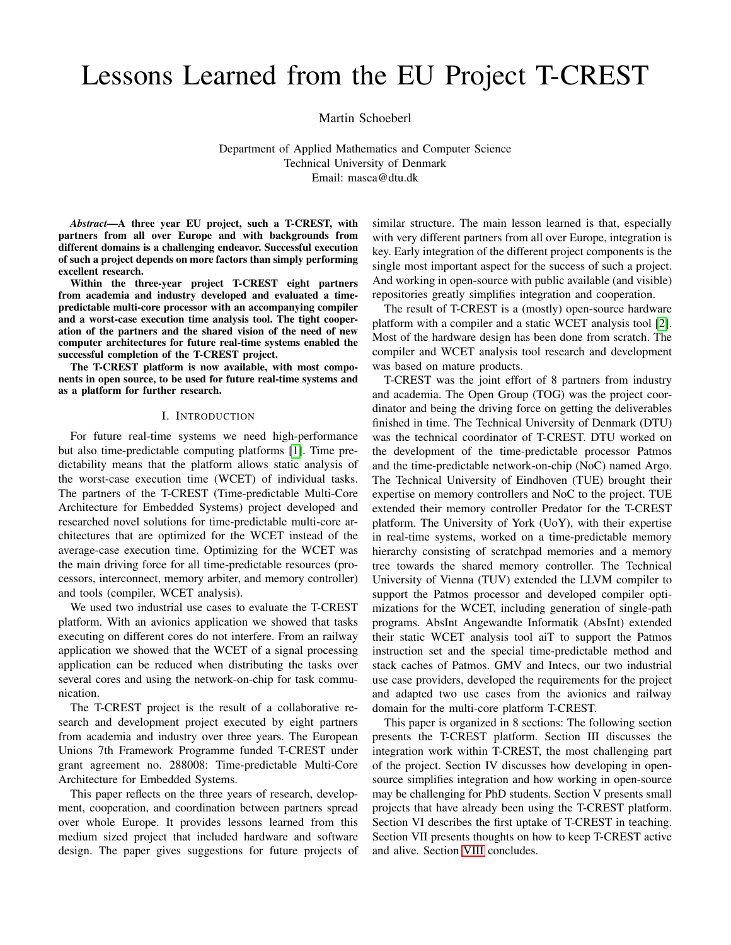# Lessons Learned from the EU Project T-CREST

Martin Schoeberl

Department of Applied Mathematics and Computer Science Technical University of Denmark Email: masca@dtu.dk

*Abstract*—A three year EU project, such a T-CREST, with partners from all over Europe and with backgrounds from different domains is a challenging endeavor. Successful execution of such a project depends on more factors than simply performing excellent research.

Within the three-year project T-CREST eight partners from academia and industry developed and evaluated a timepredictable multi-core processor with an accompanying compiler and a worst-case execution time analysis tool. The tight cooperation of the partners and the shared vision of the need of new computer architectures for future real-time systems enabled the successful completion of the T-CREST project.

The T-CREST platform is now available, with most components in open source, to be used for future real-time systems and as a platform for further research.

#### I. INTRODUCTION

For future real-time systems we need high-performance but also time-predictable computing platforms [\[1\]](#page-5-0). Time predictability means that the platform allows static analysis of the worst-case execution time (WCET) of individual tasks. The partners of the T-CREST (Time-predictable Multi-Core Architecture for Embedded Systems) project developed and researched novel solutions for time-predictable multi-core architectures that are optimized for the WCET instead of the average-case execution time. Optimizing for the WCET was the main driving force for all time-predictable resources (processors, interconnect, memory arbiter, and memory controller) and tools (compiler, WCET analysis).

We used two industrial use cases to evaluate the T-CREST platform. With an avionics application we showed that tasks executing on different cores do not interfere. From an railway application we showed that the WCET of a signal processing application can be reduced when distributing the tasks over several cores and using the network-on-chip for task communication.

The T-CREST project is the result of a collaborative research and development project executed by eight partners from academia and industry over three years. The European Unions 7th Framework Programme funded T-CREST under grant agreement no. 288008: Time-predictable Multi-Core Architecture for Embedded Systems.

This paper reflects on the three years of research, development, cooperation, and coordination between partners spread over whole Europe. It provides lessons learned from this medium sized project that included hardware and software design. The paper gives suggestions for future projects of similar structure. The main lesson learned is that, especially with very different partners from all over Europe, integration is key. Early integration of the different project components is the single most important aspect for the success of such a project. And working in open-source with public available (and visible) repositories greatly simplifies integration and cooperation.

The result of T-CREST is a (mostly) open-source hardware platform with a compiler and a static WCET analysis tool [\[2\]](#page-5-1). Most of the hardware design has been done from scratch. The compiler and WCET analysis tool research and development was based on mature products.

T-CREST was the joint effort of 8 partners from industry and academia. The Open Group (TOG) was the project coordinator and being the driving force on getting the deliverables finished in time. The Technical University of Denmark (DTU) was the technical coordinator of T-CREST. DTU worked on the development of the time-predictable processor Patmos and the time-predictable network-on-chip (NoC) named Argo. The Technical University of Eindhoven (TUE) brought their expertise on memory controllers and NoC to the project. TUE extended their memory controller Predator for the T-CREST platform. The University of York (UoY), with their expertise in real-time systems, worked on a time-predictable memory hierarchy consisting of scratchpad memories and a memory tree towards the shared memory controller. The Technical University of Vienna (TUV) extended the LLVM compiler to support the Patmos processor and developed compiler optimizations for the WCET, including generation of single-path programs. AbsInt Angewandte Informatik (AbsInt) extended their static WCET analysis tool aiT to support the Patmos instruction set and the special time-predictable method and stack caches of Patmos. GMV and Intecs, our two industrial use case providers, developed the requirements for the project and adapted two use cases from the avionics and railway domain for the multi-core platform T-CREST.

This paper is organized in 8 sections: The following section presents the T-CREST platform. Section III discusses the integration work within T-CREST, the most challenging part of the project. Section IV discusses how developing in opensource simplifies integration and how working in open-source may be challenging for PhD students. Section V presents small projects that have already been using the T-CREST platform. Section VI describes the first uptake of T-CREST in teaching. Section VII presents thoughts on how to keep T-CREST active and alive. Section [VIII](#page-4-0) concludes.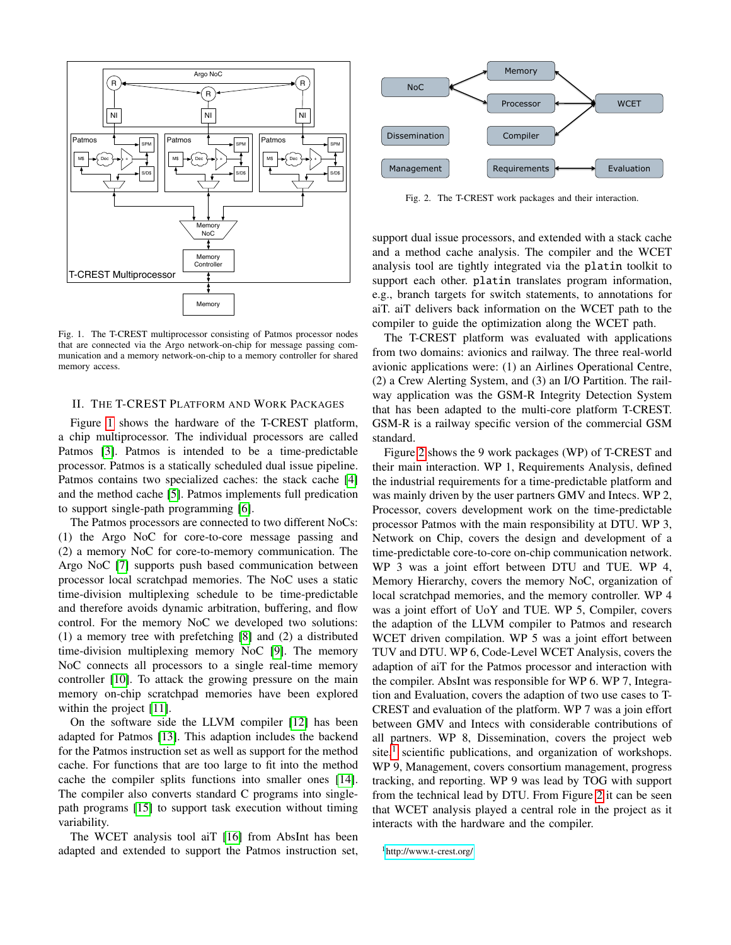

<span id="page-1-0"></span>Fig. 1. The T-CREST multiprocessor consisting of Patmos processor nodes that are connected via the Argo network-on-chip for message passing communication and a memory network-on-chip to a memory controller for shared memory access.

# II. THE T-CREST PLATFORM AND WORK PACKAGES

Figure [1](#page-1-0) shows the hardware of the T-CREST platform, a chip multiprocessor. The individual processors are called Patmos [\[3\]](#page-5-2). Patmos is intended to be a time-predictable processor. Patmos is a statically scheduled dual issue pipeline. Patmos contains two specialized caches: the stack cache [\[4\]](#page-5-3) and the method cache [\[5\]](#page-5-4). Patmos implements full predication to support single-path programming [\[6\]](#page-5-5).

The Patmos processors are connected to two different NoCs: (1) the Argo NoC for core-to-core message passing and (2) a memory NoC for core-to-memory communication. The Argo NoC [\[7\]](#page-5-6) supports push based communication between processor local scratchpad memories. The NoC uses a static time-division multiplexing schedule to be time-predictable and therefore avoids dynamic arbitration, buffering, and flow control. For the memory NoC we developed two solutions: (1) a memory tree with prefetching [\[8\]](#page-5-7) and (2) a distributed time-division multiplexing memory NoC [\[9\]](#page-5-8). The memory NoC connects all processors to a single real-time memory controller [\[10\]](#page-5-9). To attack the growing pressure on the main memory on-chip scratchpad memories have been explored within the project [\[11\]](#page-5-10).

On the software side the LLVM compiler [\[12\]](#page-5-11) has been adapted for Patmos [\[13\]](#page-5-12). This adaption includes the backend for the Patmos instruction set as well as support for the method cache. For functions that are too large to fit into the method cache the compiler splits functions into smaller ones [\[14\]](#page-5-13). The compiler also converts standard C programs into singlepath programs [\[15\]](#page-5-14) to support task execution without timing variability.

The WCET analysis tool aiT [\[16\]](#page-5-15) from AbsInt has been adapted and extended to support the Patmos instruction set,



<span id="page-1-1"></span>Fig. 2. The T-CREST work packages and their interaction.

support dual issue processors, and extended with a stack cache and a method cache analysis. The compiler and the WCET analysis tool are tightly integrated via the platin toolkit to support each other. platin translates program information, e.g., branch targets for switch statements, to annotations for aiT. aiT delivers back information on the WCET path to the compiler to guide the optimization along the WCET path.

The T-CREST platform was evaluated with applications from two domains: avionics and railway. The three real-world avionic applications were: (1) an Airlines Operational Centre, (2) a Crew Alerting System, and (3) an I/O Partition. The railway application was the GSM-R Integrity Detection System that has been adapted to the multi-core platform T-CREST. GSM-R is a railway specific version of the commercial GSM standard.

Figure [2](#page-1-1) shows the 9 work packages (WP) of T-CREST and their main interaction. WP 1, Requirements Analysis, defined the industrial requirements for a time-predictable platform and was mainly driven by the user partners GMV and Intecs. WP 2, Processor, covers development work on the time-predictable processor Patmos with the main responsibility at DTU. WP 3, Network on Chip, covers the design and development of a time-predictable core-to-core on-chip communication network. WP 3 was a joint effort between DTU and TUE. WP 4, Memory Hierarchy, covers the memory NoC, organization of local scratchpad memories, and the memory controller. WP 4 was a joint effort of UoY and TUE. WP 5, Compiler, covers the adaption of the LLVM compiler to Patmos and research WCET driven compilation. WP 5 was a joint effort between TUV and DTU. WP 6, Code-Level WCET Analysis, covers the adaption of aiT for the Patmos processor and interaction with the compiler. AbsInt was responsible for WP 6. WP 7, Integration and Evaluation, covers the adaption of two use cases to T-CREST and evaluation of the platform. WP 7 was a join effort between GMV and Intecs with considerable contributions of all partners. WP 8, Dissemination, covers the project web site,<sup>[1](#page-1-2)</sup> scientific publications, and organization of workshops. WP 9, Management, covers consortium management, progress tracking, and reporting. WP 9 was lead by TOG with support from the technical lead by DTU. From Figure [2](#page-1-1) it can be seen that WCET analysis played a central role in the project as it interacts with the hardware and the compiler.

<span id="page-1-2"></span><sup>1</sup><http://www.t-crest.org/>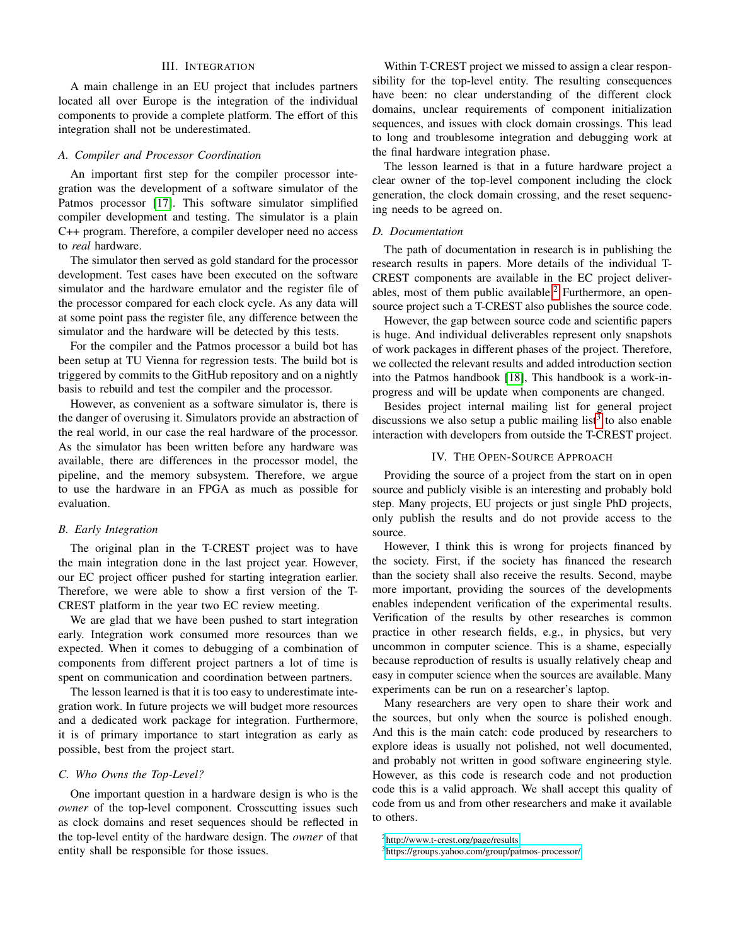## III. INTEGRATION

A main challenge in an EU project that includes partners located all over Europe is the integration of the individual components to provide a complete platform. The effort of this integration shall not be underestimated.

#### *A. Compiler and Processor Coordination*

An important first step for the compiler processor integration was the development of a software simulator of the Patmos processor [\[17\]](#page-5-16). This software simulator simplified compiler development and testing. The simulator is a plain C++ program. Therefore, a compiler developer need no access to *real* hardware.

The simulator then served as gold standard for the processor development. Test cases have been executed on the software simulator and the hardware emulator and the register file of the processor compared for each clock cycle. As any data will at some point pass the register file, any difference between the simulator and the hardware will be detected by this tests.

For the compiler and the Patmos processor a build bot has been setup at TU Vienna for regression tests. The build bot is triggered by commits to the GitHub repository and on a nightly basis to rebuild and test the compiler and the processor.

However, as convenient as a software simulator is, there is the danger of overusing it. Simulators provide an abstraction of the real world, in our case the real hardware of the processor. As the simulator has been written before any hardware was available, there are differences in the processor model, the pipeline, and the memory subsystem. Therefore, we argue to use the hardware in an FPGA as much as possible for evaluation.

# *B. Early Integration*

The original plan in the T-CREST project was to have the main integration done in the last project year. However, our EC project officer pushed for starting integration earlier. Therefore, we were able to show a first version of the T-CREST platform in the year two EC review meeting.

We are glad that we have been pushed to start integration early. Integration work consumed more resources than we expected. When it comes to debugging of a combination of components from different project partners a lot of time is spent on communication and coordination between partners.

The lesson learned is that it is too easy to underestimate integration work. In future projects we will budget more resources and a dedicated work package for integration. Furthermore, it is of primary importance to start integration as early as possible, best from the project start.

# *C. Who Owns the Top-Level?*

One important question in a hardware design is who is the *owner* of the top-level component. Crosscutting issues such as clock domains and reset sequences should be reflected in the top-level entity of the hardware design. The *owner* of that entity shall be responsible for those issues.

Within T-CREST project we missed to assign a clear responsibility for the top-level entity. The resulting consequences have been: no clear understanding of the different clock domains, unclear requirements of component initialization sequences, and issues with clock domain crossings. This lead to long and troublesome integration and debugging work at the final hardware integration phase.

The lesson learned is that in a future hardware project a clear owner of the top-level component including the clock generation, the clock domain crossing, and the reset sequencing needs to be agreed on.

#### *D. Documentation*

The path of documentation in research is in publishing the research results in papers. More details of the individual T-CREST components are available in the EC project deliver-ables, most of them public available.<sup>[2](#page-2-0)</sup> Furthermore, an opensource project such a T-CREST also publishes the source code.

However, the gap between source code and scientific papers is huge. And individual deliverables represent only snapshots of work packages in different phases of the project. Therefore, we collected the relevant results and added introduction section into the Patmos handbook [\[18\]](#page-5-17), This handbook is a work-inprogress and will be update when components are changed.

Besides project internal mailing list for general project discussions we also setup a public mailing list<sup>[3](#page-2-1)</sup> to also enable interaction with developers from outside the T-CREST project.

#### IV. THE OPEN-SOURCE APPROACH

Providing the source of a project from the start on in open source and publicly visible is an interesting and probably bold step. Many projects, EU projects or just single PhD projects, only publish the results and do not provide access to the source.

However, I think this is wrong for projects financed by the society. First, if the society has financed the research than the society shall also receive the results. Second, maybe more important, providing the sources of the developments enables independent verification of the experimental results. Verification of the results by other researches is common practice in other research fields, e.g., in physics, but very uncommon in computer science. This is a shame, especially because reproduction of results is usually relatively cheap and easy in computer science when the sources are available. Many experiments can be run on a researcher's laptop.

Many researchers are very open to share their work and the sources, but only when the source is polished enough. And this is the main catch: code produced by researchers to explore ideas is usually not polished, not well documented, and probably not written in good software engineering style. However, as this code is research code and not production code this is a valid approach. We shall accept this quality of code from us and from other researchers and make it available to others.

<span id="page-2-0"></span><sup>2</sup><http://www.t-crest.org/page/results>

<span id="page-2-1"></span><sup>3</sup><https://groups.yahoo.com/group/patmos-processor/>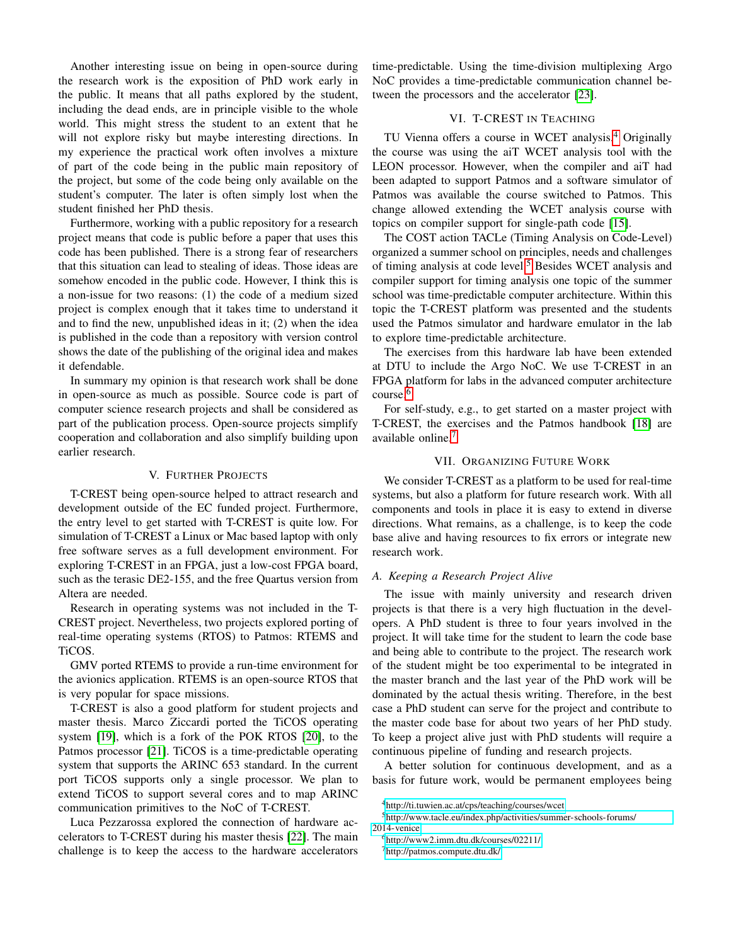Another interesting issue on being in open-source during the research work is the exposition of PhD work early in the public. It means that all paths explored by the student, including the dead ends, are in principle visible to the whole world. This might stress the student to an extent that he will not explore risky but maybe interesting directions. In my experience the practical work often involves a mixture of part of the code being in the public main repository of the project, but some of the code being only available on the student's computer. The later is often simply lost when the student finished her PhD thesis.

Furthermore, working with a public repository for a research project means that code is public before a paper that uses this code has been published. There is a strong fear of researchers that this situation can lead to stealing of ideas. Those ideas are somehow encoded in the public code. However, I think this is a non-issue for two reasons: (1) the code of a medium sized project is complex enough that it takes time to understand it and to find the new, unpublished ideas in it; (2) when the idea is published in the code than a repository with version control shows the date of the publishing of the original idea and makes it defendable.

In summary my opinion is that research work shall be done in open-source as much as possible. Source code is part of computer science research projects and shall be considered as part of the publication process. Open-source projects simplify cooperation and collaboration and also simplify building upon earlier research.

# V. FURTHER PROJECTS

T-CREST being open-source helped to attract research and development outside of the EC funded project. Furthermore, the entry level to get started with T-CREST is quite low. For simulation of T-CREST a Linux or Mac based laptop with only free software serves as a full development environment. For exploring T-CREST in an FPGA, just a low-cost FPGA board, such as the terasic DE2-155, and the free Quartus version from Altera are needed.

Research in operating systems was not included in the T-CREST project. Nevertheless, two projects explored porting of real-time operating systems (RTOS) to Patmos: RTEMS and TiCOS.

GMV ported RTEMS to provide a run-time environment for the avionics application. RTEMS is an open-source RTOS that is very popular for space missions.

T-CREST is also a good platform for student projects and master thesis. Marco Ziccardi ported the TiCOS operating system [\[19\]](#page-5-18), which is a fork of the POK RTOS [\[20\]](#page-5-19), to the Patmos processor [\[21\]](#page-5-20). TiCOS is a time-predictable operating system that supports the ARINC 653 standard. In the current port TiCOS supports only a single processor. We plan to extend TiCOS to support several cores and to map ARINC communication primitives to the NoC of T-CREST.

Luca Pezzarossa explored the connection of hardware accelerators to T-CREST during his master thesis [\[22\]](#page-5-21). The main challenge is to keep the access to the hardware accelerators time-predictable. Using the time-division multiplexing Argo NoC provides a time-predictable communication channel between the processors and the accelerator [\[23\]](#page-5-22).

# VI. T-CREST IN TEACHING

TU Vienna offers a course in WCET analysis.[4](#page-3-0) Originally the course was using the aiT WCET analysis tool with the LEON processor. However, when the compiler and aiT had been adapted to support Patmos and a software simulator of Patmos was available the course switched to Patmos. This change allowed extending the WCET analysis course with topics on compiler support for single-path code [\[15\]](#page-5-14).

The COST action TACLe (Timing Analysis on Code-Level) organized a summer school on principles, needs and challenges of timing analysis at code level.<sup>[5](#page-3-1)</sup> Besides WCET analysis and compiler support for timing analysis one topic of the summer school was time-predictable computer architecture. Within this topic the T-CREST platform was presented and the students used the Patmos simulator and hardware emulator in the lab to explore time-predictable architecture.

The exercises from this hardware lab have been extended at DTU to include the Argo NoC. We use T-CREST in an FPGA platform for labs in the advanced computer architecture course.[6](#page-3-2)

For self-study, e.g., to get started on a master project with T-CREST, the exercises and the Patmos handbook [\[18\]](#page-5-17) are available online.[7](#page-3-3)

### VII. ORGANIZING FUTURE WORK

We consider T-CREST as a platform to be used for real-time systems, but also a platform for future research work. With all components and tools in place it is easy to extend in diverse directions. What remains, as a challenge, is to keep the code base alive and having resources to fix errors or integrate new research work.

# *A. Keeping a Research Project Alive*

The issue with mainly university and research driven projects is that there is a very high fluctuation in the developers. A PhD student is three to four years involved in the project. It will take time for the student to learn the code base and being able to contribute to the project. The research work of the student might be too experimental to be integrated in the master branch and the last year of the PhD work will be dominated by the actual thesis writing. Therefore, in the best case a PhD student can serve for the project and contribute to the master code base for about two years of her PhD study. To keep a project alive just with PhD students will require a continuous pipeline of funding and research projects.

A better solution for continuous development, and as a basis for future work, would be permanent employees being

<sup>5</sup>[http://www.tacle.eu/index.php/activities/summer-schools-forums/](http://www.tacle.eu/index.php/activities/summer-schools-forums/2014-venice) [2014-venice](http://www.tacle.eu/index.php/activities/summer-schools-forums/2014-venice)

<span id="page-3-1"></span><span id="page-3-0"></span><sup>4</sup><http://ti.tuwien.ac.at/cps/teaching/courses/wcet>

<span id="page-3-2"></span><sup>6</sup><http://www2.imm.dtu.dk/courses/02211/>

<span id="page-3-3"></span><sup>7</sup><http://patmos.compute.dtu.dk/>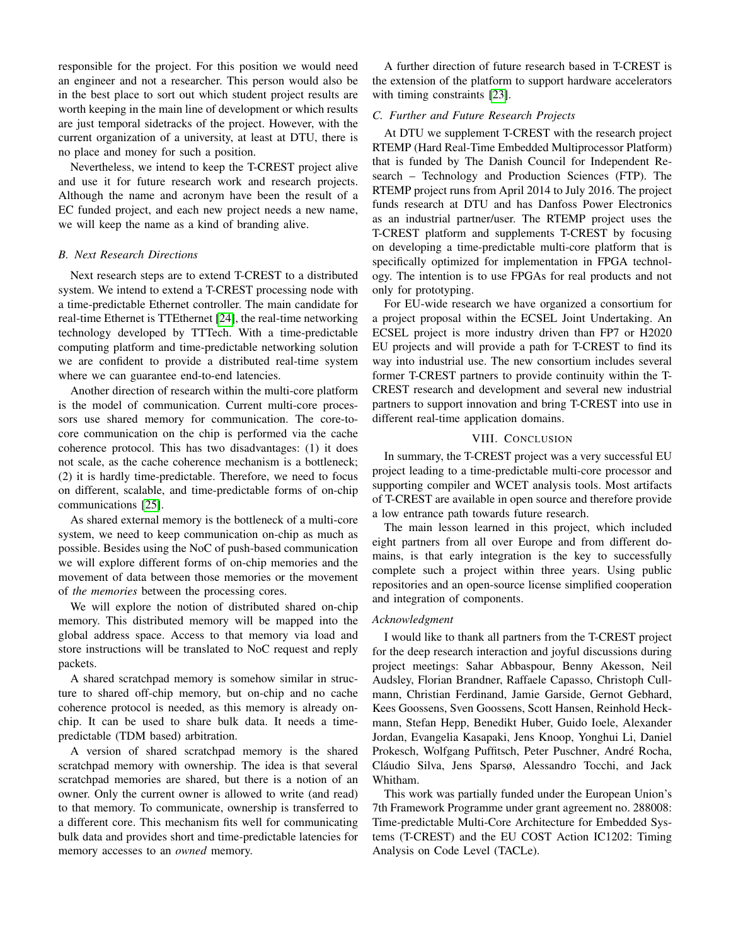responsible for the project. For this position we would need an engineer and not a researcher. This person would also be in the best place to sort out which student project results are worth keeping in the main line of development or which results are just temporal sidetracks of the project. However, with the current organization of a university, at least at DTU, there is no place and money for such a position.

Nevertheless, we intend to keep the T-CREST project alive and use it for future research work and research projects. Although the name and acronym have been the result of a EC funded project, and each new project needs a new name, we will keep the name as a kind of branding alive.

#### *B. Next Research Directions*

Next research steps are to extend T-CREST to a distributed system. We intend to extend a T-CREST processing node with a time-predictable Ethernet controller. The main candidate for real-time Ethernet is TTEthernet [\[24\]](#page-5-23), the real-time networking technology developed by TTTech. With a time-predictable computing platform and time-predictable networking solution we are confident to provide a distributed real-time system where we can guarantee end-to-end latencies.

Another direction of research within the multi-core platform is the model of communication. Current multi-core processors use shared memory for communication. The core-tocore communication on the chip is performed via the cache coherence protocol. This has two disadvantages: (1) it does not scale, as the cache coherence mechanism is a bottleneck; (2) it is hardly time-predictable. Therefore, we need to focus on different, scalable, and time-predictable forms of on-chip communications [\[25\]](#page-5-24).

As shared external memory is the bottleneck of a multi-core system, we need to keep communication on-chip as much as possible. Besides using the NoC of push-based communication we will explore different forms of on-chip memories and the movement of data between those memories or the movement of *the memories* between the processing cores.

We will explore the notion of distributed shared on-chip memory. This distributed memory will be mapped into the global address space. Access to that memory via load and store instructions will be translated to NoC request and reply packets.

A shared scratchpad memory is somehow similar in structure to shared off-chip memory, but on-chip and no cache coherence protocol is needed, as this memory is already onchip. It can be used to share bulk data. It needs a timepredictable (TDM based) arbitration.

A version of shared scratchpad memory is the shared scratchpad memory with ownership. The idea is that several scratchpad memories are shared, but there is a notion of an owner. Only the current owner is allowed to write (and read) to that memory. To communicate, ownership is transferred to a different core. This mechanism fits well for communicating bulk data and provides short and time-predictable latencies for memory accesses to an *owned* memory.

A further direction of future research based in T-CREST is the extension of the platform to support hardware accelerators with timing constraints [\[23\]](#page-5-22).

### *C. Further and Future Research Projects*

At DTU we supplement T-CREST with the research project RTEMP (Hard Real-Time Embedded Multiprocessor Platform) that is funded by The Danish Council for Independent Research – Technology and Production Sciences (FTP). The RTEMP project runs from April 2014 to July 2016. The project funds research at DTU and has Danfoss Power Electronics as an industrial partner/user. The RTEMP project uses the T-CREST platform and supplements T-CREST by focusing on developing a time-predictable multi-core platform that is specifically optimized for implementation in FPGA technology. The intention is to use FPGAs for real products and not only for prototyping.

For EU-wide research we have organized a consortium for a project proposal within the ECSEL Joint Undertaking. An ECSEL project is more industry driven than FP7 or H2020 EU projects and will provide a path for T-CREST to find its way into industrial use. The new consortium includes several former T-CREST partners to provide continuity within the T-CREST research and development and several new industrial partners to support innovation and bring T-CREST into use in different real-time application domains.

# VIII. CONCLUSION

<span id="page-4-0"></span>In summary, the T-CREST project was a very successful EU project leading to a time-predictable multi-core processor and supporting compiler and WCET analysis tools. Most artifacts of T-CREST are available in open source and therefore provide a low entrance path towards future research.

The main lesson learned in this project, which included eight partners from all over Europe and from different domains, is that early integration is the key to successfully complete such a project within three years. Using public repositories and an open-source license simplified cooperation and integration of components.

#### *Acknowledgment*

I would like to thank all partners from the T-CREST project for the deep research interaction and joyful discussions during project meetings: Sahar Abbaspour, Benny Akesson, Neil Audsley, Florian Brandner, Raffaele Capasso, Christoph Cullmann, Christian Ferdinand, Jamie Garside, Gernot Gebhard, Kees Goossens, Sven Goossens, Scott Hansen, Reinhold Heckmann, Stefan Hepp, Benedikt Huber, Guido Ioele, Alexander Jordan, Evangelia Kasapaki, Jens Knoop, Yonghui Li, Daniel Prokesch, Wolfgang Puffitsch, Peter Puschner, Andre Rocha, ´ Claudio Silva, Jens Sparsø, Alessandro Tocchi, and Jack ´ Whitham.

This work was partially funded under the European Union's 7th Framework Programme under grant agreement no. 288008: Time-predictable Multi-Core Architecture for Embedded Systems (T-CREST) and the EU COST Action IC1202: Timing Analysis on Code Level (TACLe).